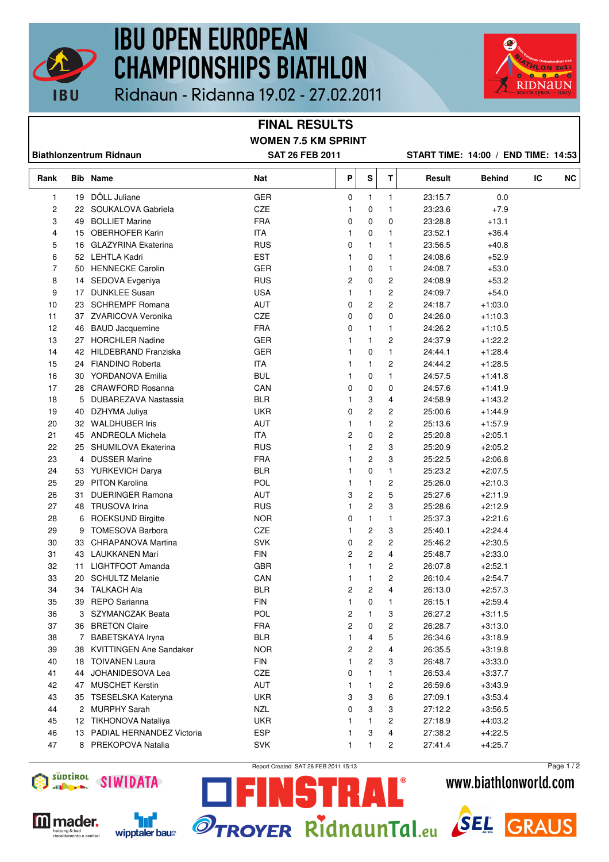

## **IBU OPEN EUROPEAN CHAMPIONSHIPS BIATHLON** Ridnaun - Ridanna 19.02 - 27.02.2011



**FINAL RESULTS WOMEN 7.5 KM SPRINT Biathlonzentrum Ridnaun SAT 26 FEB 2011 START TIME: 14:00 / END TIME: 14:53 Rank Bib Name Nat P S T Result Behind IC NC** 1 19 DÖLL Juliane GER 0 1 1 23:15.7 0.0 2 22 SOUKALOVA Gabriela CZE 1 0 1 23:23.6 +7.9 3 49 BOLLIET Marine FRA 0 0 0 23:28.8 +13.1 4 15 OBERHOFER Karin 1 1 1 1 1 1 23:52.1 +36.4 5 16 GLAZYRINA Ekaterina RUS 0 1 1 23:56.5 +40.8 6 52 LEHTLA Kadri EST 1 0 1 24:08.6 +52.9 7 50 HENNECKE Carolin **GER** 1 0 1 24:08.7 +53.0 8 14 SEDOVA Evgeniya RUS 2 0 2 24:08.9 +53.2 9 17 DUNKLEE Susan USA 1 1 2 24:09.7 +54.0 10 23 SCHREMPF Romana AUT 0 2 2 24:18.7 +1:03.0 11 37 ZVARICOVA Veronika CZE 0 0 0 24:26.0 +1:10.3 12 46 BAUD Jacquemine FRA 0 1 1 24:26.2 +1:10.5 13 27 HORCHLER Nadine GER 1 1 2 24:37.9 +1:22.2 14 42 HILDEBRAND Franziska GER 1 0 1 24:44.1 +1:28.4 15 24 FIANDINO Roberta **ITA** 1 1 2 24:44.2 +1:28.5 16 30 YORDANOVA Emilia **BUL** 1 0 1 24:57.5 +1:41.8 17 28 CRAWFORD Rosanna CAN 0 0 0 24:57.6 +1:41.9 18 5 DUBAREZAVA Nastassia BLR 1 3 4 24:58.9 +1:43.2 19 40 DZHYMA Juliya UKR 0 2 2 25:00.6 +1:44.9 20 32 WALDHUBER Iris **AUT** AUT 1 1 2 25:13.6 +1:57.9 21 45 ANDREOLA Michela ITA 2 0 2 25:20.8 +2:05.1 22 25 SHUMILOVA Ekaterina RUS 1 2 3 25:20.9 +2:05.2 23 4 DUSSER Marine **FRA** 1 2 3 25:22.5 +2:06.8 24 53 YURKEVICH Darya BLR 1 0 1 25:23.2 +2:07.5 25 29 PITON Karolina POL 1 1 2 25:26.0 +2:10.3 26 31 DUERINGER Ramona AUT 3 2 5 25:27.6 +2:11.9 27 48 TRUSOVA Irina RUS 1 2 3 25:28.6 +2:12.9 28 6 ROEKSUND Birgitte NOR 0 1 1 25:37.3 +2:21.6 29 9 TOMESOVA Barbora CZE 1 2 3 25:40.1 +2:24.4 30 33 CHRAPANOVA Martina SVK 0 2 2 25:46.2 +2:30.5 31 43 LAUKKANEN Mari FIN 2 2 4 25:48.7 +2:33.0 32 11 LIGHTFOOT Amanda GBR 1 1 2 26:07.8 +2:52.1 33 20 SCHULTZ Melanie CAN 1 1 2 26:10.4 +2:54.7 34 34 TALKACH Ala BLR 2 2 4 26:13.0 +2:57.3 35 39 REPO Sarianna FIN 1 0 1 26:15.1 +2:59.4 36 3 SZYMANCZAK Beata POL 2 1 3 26:27.2 +3:11.5 37 36 BRETON Claire FRA 2 0 2 26:28.7 +3:13.0 38 7 BABETSKAYA Iryna BLR 1 4 5 26:34.6 +3:18.9 39 38 KVITTINGEN Ane Sandaker NOR 2 2 4 26:35.5 +3:19.8 40 18 TOIVANEN Laura FIN 1 2 3 26:48.7 +3:33.0 41 44 JOHANIDESOVA Lea CZE 0 1 1 26:53.4 +3:37.7 42 47 MUSCHET Kerstin AUT 1 1 2 26:59.6 +3:43.9 43 35 TSESELSKA Kateryna UKR 3 3 6 27:09.1 +3:53.4 44 2 MURPHY Sarah NZL 0 3 3 27:12.2 +3:56.5 45 12 TIKHONOVA Nataliya UKR 1 1 2 27:18.9 +4:03.2 46 13 PADIAL HERNANDEZ Victoria ESP 1 3 4 27:38.2 +4:22.5 47 8 PREKOPOVA Natalia SVK 1 1 2 27:41.4 +4:25.7



wipptaler baus

Report Created SAT 26 FEB 2011 15:13

NSTRAL®

**OTROYER RIDRAUNTALeu SEL** 

Page 1 / 2

**GRAUS** 

www.biathlonworld.com